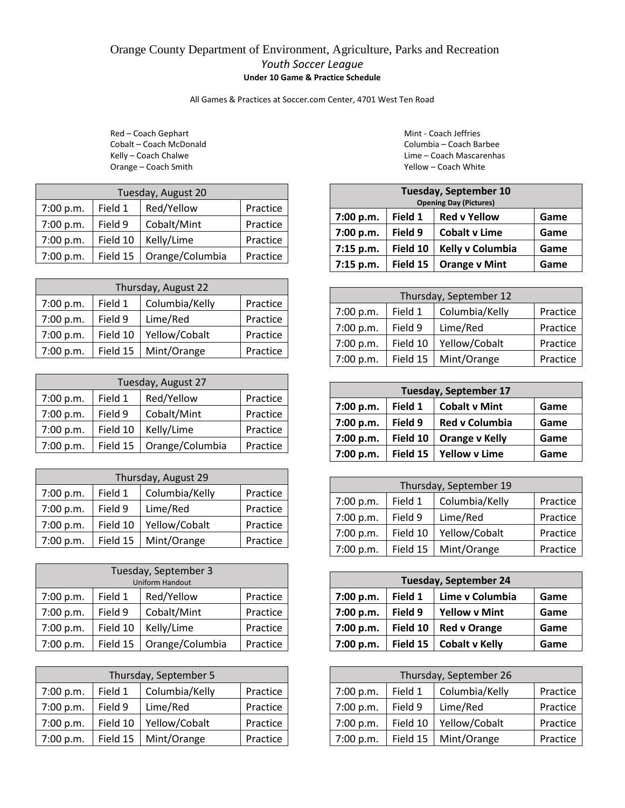## Orange County Department of Environment, Agriculture, Parks and Recreation *Youth Soccer League* **Under 10 Game & Practice Schedule**

All Games & Practices at Soccer.com Center, 4701 West Ten Road

Red – Coach Gephart Mint - Coach Jeffries Orange – Coach Smith **Yellow – Coach White** Vellow – Coach White

| Tuesday, August 20 |          |                 |          |  |
|--------------------|----------|-----------------|----------|--|
| 7:00 p.m.          | Field 1  | Red/Yellow      | Practice |  |
| 7:00 p.m.          | Field 9  | Cobalt/Mint     | Practice |  |
| 7:00 p.m.          | Field 10 | Kelly/Lime      | Practice |  |
| 7:00 p.m.          | Field 15 | Orange/Columbia | Practice |  |

| Thursday, August 22 |          |                |          |  |
|---------------------|----------|----------------|----------|--|
| 7:00 p.m.           | Field 1  | Columbia/Kelly | Practice |  |
| 7:00 p.m.           | Field 9  | Lime/Red       | Practice |  |
| 7:00 p.m.           | Field 10 | Yellow/Cobalt  | Practice |  |
| 7:00 p.m.           | Field 15 | Mint/Orange    | Practice |  |

| Tuesday, August 27 |          |                 |          |  |
|--------------------|----------|-----------------|----------|--|
| 7:00 p.m.          | Field 1  | Red/Yellow      | Practice |  |
| 7:00 p.m.          | Field 9  | Cobalt/Mint     | Practice |  |
| 7:00 p.m.          | Field 10 | Kelly/Lime      | Practice |  |
| 7:00 p.m.          | Field 15 | Orange/Columbia | Practice |  |

| Thursday, August 29 |          |                |          |
|---------------------|----------|----------------|----------|
| 7:00 p.m.           | Field 1  | Columbia/Kelly | Practice |
| 7:00 p.m.           | Field 9  | Lime/Red       | Practice |
| 7:00 p.m.           | Field 10 | Yellow/Cobalt  | Practice |
| 7:00 p.m.           | Field 15 | Mint/Orange    | Practice |

| Tuesday, September 3<br><b>Uniform Handout</b> |          |                 |          |  |
|------------------------------------------------|----------|-----------------|----------|--|
| Red/Yellow<br>Field 1<br>Practice<br>7:00 p.m. |          |                 |          |  |
| 7:00 p.m.                                      | Field 9  | Cobalt/Mint     | Practice |  |
| 7:00 p.m.                                      | Practice |                 |          |  |
| 7:00 p.m.                                      | Field 15 | Orange/Columbia | Practice |  |

| Thursday, September 5 |          |                |          |  |
|-----------------------|----------|----------------|----------|--|
| 7:00 p.m.             | Field 1  | Columbia/Kelly | Practice |  |
| 7:00 p.m.             | Field 9  | Lime/Red       | Practice |  |
| 7:00 p.m.             | Field 10 | Yellow/Cobalt  | Practice |  |
| 7:00 p.m.             | Field 15 | Mint/Orange    | Practice |  |

Cobalt – Coach McDonald Columbia – Coach Barbee Kelly – Coach Chalwe **Lime – Coach Mascarenhas** 

| <b>Tuesday, September 10</b>                        |          |                               |      |
|-----------------------------------------------------|----------|-------------------------------|------|
|                                                     |          | <b>Opening Day (Pictures)</b> |      |
| Field 1<br><b>Red v Yellow</b><br>7:00 p.m.<br>Game |          |                               |      |
| 7:00 p.m.                                           | Field 9  | <b>Cobalt v Lime</b>          | Game |
| 7:15 p.m.                                           | Field 10 | Kelly v Columbia              | Game |
| 7:15 p.m.                                           | Field 15 | <b>Orange v Mint</b>          | Game |

| Thursday, September 12 |          |                |          |
|------------------------|----------|----------------|----------|
| 7:00 p.m.              | Field 1  | Columbia/Kelly | Practice |
| 7:00 p.m.              | Field 9  | Lime/Red       | Practice |
| 7:00 p.m.              | Field 10 | Yellow/Cobalt  | Practice |
| 7:00 p.m.              | Field 15 | Mint/Orange    | Practice |

| <b>Tuesday, September 17</b> |          |                       |      |  |
|------------------------------|----------|-----------------------|------|--|
| 7:00 p.m.                    | Field 1  | <b>Cobalt v Mint</b>  | Game |  |
| 7:00 p.m.                    | Field 9  | <b>Red v Columbia</b> | Game |  |
| 7:00 p.m.                    | Field 10 | <b>Orange v Kelly</b> | Game |  |
| 7:00 p.m.                    | Field 15 | <b>Yellow v Lime</b>  | Game |  |

| Thursday, September 19 |          |                |          |
|------------------------|----------|----------------|----------|
| 7:00 p.m.              | Field 1  | Columbia/Kelly | Practice |
| 7:00 p.m.              | Field 9  | Lime/Red       | Practice |
| 7:00 p.m.              | Field 10 | Yellow/Cobalt  | Practice |
| 7:00 p.m.              | Field 15 | Mint/Orange    | Practice |

| <b>Tuesday, September 24</b> |          |                       |      |
|------------------------------|----------|-----------------------|------|
| 7:00 p.m.                    | Field 1  | Lime v Columbia       | Game |
| 7:00 p.m.                    | Field 9  | <b>Yellow v Mint</b>  | Game |
| 7:00 p.m.                    | Field 10 | <b>Red v Orange</b>   | Game |
| 7:00 p.m.                    | Field 15 | <b>Cobalt v Kelly</b> | Game |

| Thursday, September 26 |          |                |          |  |
|------------------------|----------|----------------|----------|--|
| 7:00 p.m.              | Field 1  | Columbia/Kelly | Practice |  |
| 7:00 p.m.              | Field 9  | Lime/Red       | Practice |  |
| 7:00 p.m.              | Field 10 | Yellow/Cobalt  | Practice |  |
| 7:00 p.m.              | Field 15 | Mint/Orange    | Practice |  |